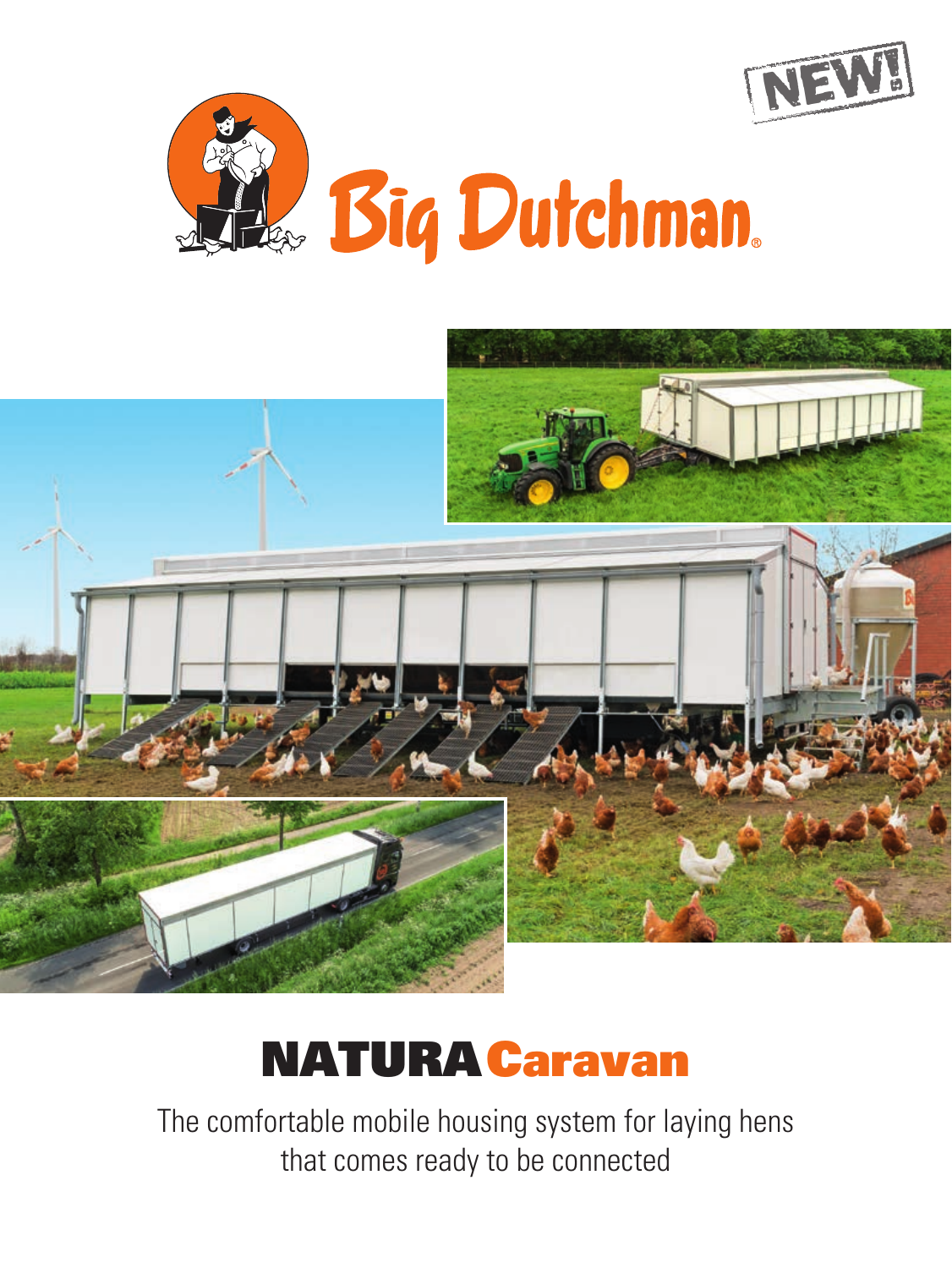





# NATURACaravan

The comfortable mobile housing system for laying hens that comes ready to be connected